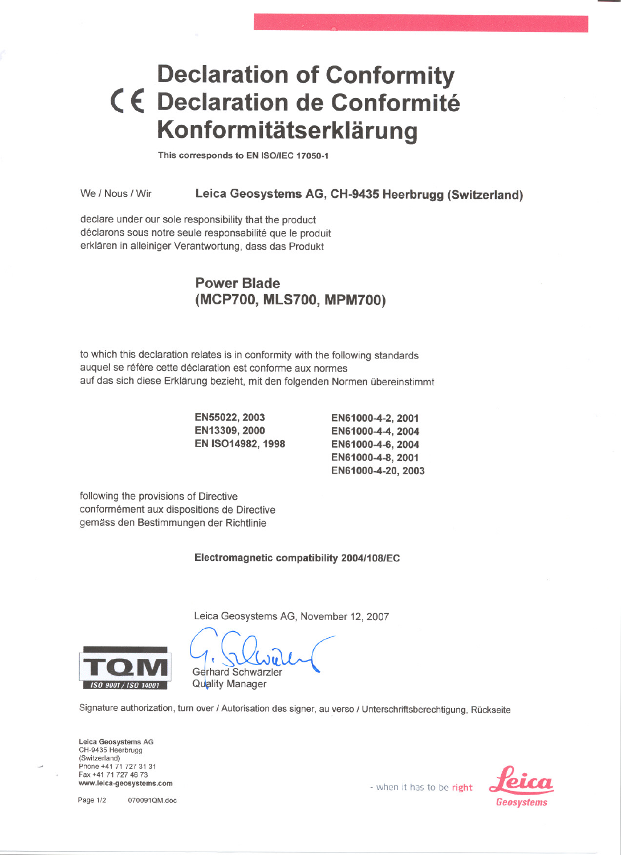## **Declaration of Conformity** < **E: Declaration de Conformite Konformitätserklärung**

This corresponds to EN ISO/IEC 17050-1

We / Nous / Wir Leica Geosystems AG, CH-9435 Heerbrugg (Switzerland)

declare under our sole responsibility that the product déclarons sous notre seule responsabilité que le produit erklaren in alleiniger Verantwortung, dass das Produkt

## Power Blade (MCP700, MLS700, MPM700)

to which this declaration relates is in conformity with the following standards auquel se réfère cette déclaration est conforme aux normes auf das sich diese Erklarung bezieht, mit den folgenden Normen übereinstimmt

> EN55022, 2003 EN13309,2000 EN 15014982, 1998

EN61000-4-2, 2001 EN61000-4-4, 2004 EN61000-4-6, 2004 EN61000-4-8, 2001 EN61000-4-20, 2003

following the provisions of Directive conformement aux dispositions de Directive gemass den Bestimmungen der Richtlinie

## Electromagnetic compatibility 2004l108/EC

Leica Geosystems AG, November 12, 2007



Gerhard Schwärzler Quality Manager

Signature authorization, turn over / Autorisation des signer, au verso / Unterschriftsberechtigung, Rückseite

Leica Geosystems AG CH-9435 Heerbrugg (Switzenand) Phone +41 71 72731 31 Fax +41 71 727 46 7 www.leica-geosystems.com **and the community of the community of the community of the community of the community of the community of the community of the community of the community of the community of the community of the c**